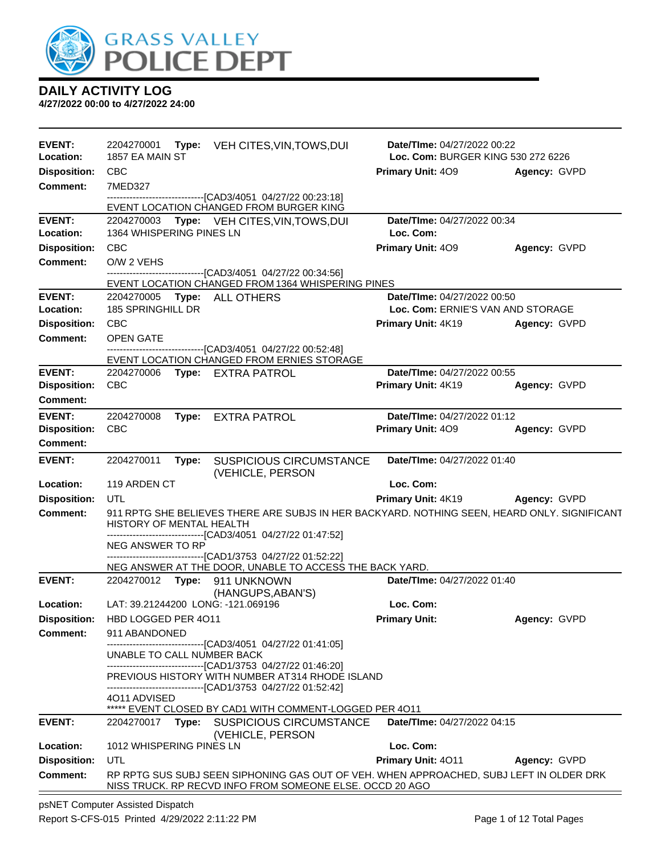

**4/27/2022 00:00 to 4/27/2022 24:00**

| <b>EVENT:</b><br>Location: | 2204270001<br>1857 EA MAIN ST      | Type: VEH CITES, VIN, TOWS, DUI                                                                                                                             | Date/TIme: 04/27/2022 00:22<br>Loc. Com: BURGER KING 530 272 6226 |              |
|----------------------------|------------------------------------|-------------------------------------------------------------------------------------------------------------------------------------------------------------|-------------------------------------------------------------------|--------------|
| <b>Disposition:</b>        | <b>CBC</b>                         |                                                                                                                                                             | <b>Primary Unit: 409</b>                                          | Agency: GVPD |
| <b>Comment:</b>            | 7MED327                            |                                                                                                                                                             |                                                                   |              |
|                            |                                    | -------------------------------[CAD3/4051 04/27/22 00:23:18]<br>EVENT LOCATION CHANGED FROM BURGER KING                                                     |                                                                   |              |
| <b>EVENT:</b>              | 2204270003                         | Type: VEH CITES, VIN, TOWS, DUI                                                                                                                             | <b>Date/TIme: 04/27/2022 00:34</b>                                |              |
| Location:                  | 1364 WHISPERING PINES LN           |                                                                                                                                                             | Loc. Com:                                                         |              |
| <b>Disposition:</b>        | <b>CBC</b>                         |                                                                                                                                                             | <b>Primary Unit: 409</b>                                          | Agency: GVPD |
| <b>Comment:</b>            | O/W 2 VEHS                         |                                                                                                                                                             |                                                                   |              |
|                            |                                    | -------------------------------[CAD3/4051 04/27/22 00:34:56]<br>EVENT LOCATION CHANGED FROM 1364 WHISPERING PINES                                           |                                                                   |              |
| <b>EVENT:</b>              | 2204270005                         | Type: ALL OTHERS                                                                                                                                            | Date/TIme: 04/27/2022 00:50                                       |              |
| Location:                  | 185 SPRINGHILL DR                  |                                                                                                                                                             | Loc. Com: ERNIE'S VAN AND STORAGE                                 |              |
| <b>Disposition:</b>        | <b>CBC</b>                         |                                                                                                                                                             | <b>Primary Unit: 4K19</b>                                         | Agency: GVPD |
| Comment:                   | <b>OPEN GATE</b>                   | --------------------------------[CAD3/4051 04/27/22 00:52:48]                                                                                               |                                                                   |              |
|                            |                                    | EVENT LOCATION CHANGED FROM ERNIES STORAGE                                                                                                                  |                                                                   |              |
| <b>EVENT:</b>              | 2204270006 Type: EXTRA PATROL      |                                                                                                                                                             | Date/TIme: 04/27/2022 00:55                                       |              |
| <b>Disposition:</b>        | <b>CBC</b>                         |                                                                                                                                                             | Primary Unit: 4K19                                                | Agency: GVPD |
| <b>Comment:</b>            |                                    |                                                                                                                                                             |                                                                   |              |
| <b>EVENT:</b>              | 2204270008                         | Type: EXTRA PATROL                                                                                                                                          | Date/TIme: 04/27/2022 01:12                                       |              |
| <b>Disposition:</b>        | <b>CBC</b>                         |                                                                                                                                                             | Primary Unit: 409                                                 | Agency: GVPD |
| <b>Comment:</b>            |                                    |                                                                                                                                                             |                                                                   |              |
| <b>EVENT:</b>              | 2204270011<br>Type:                | <b>SUSPICIOUS CIRCUMSTANCE</b><br>(VEHICLE, PERSON                                                                                                          | Date/TIme: 04/27/2022 01:40                                       |              |
| Location:                  | 119 ARDEN CT                       |                                                                                                                                                             | Loc. Com:                                                         |              |
| <b>Disposition:</b>        | UTL                                |                                                                                                                                                             | Primary Unit: 4K19                                                | Agency: GVPD |
| <b>Comment:</b>            | HISTORY OF MENTAL HEALTH           | 911 RPTG SHE BELIEVES THERE ARE SUBJS IN HER BACKYARD. NOTHING SEEN, HEARD ONLY. SIGNIFICANT<br>------------------------------[CAD3/4051 04/27/22 01:47:52] |                                                                   |              |
|                            | NEG ANSWER TO RP                   |                                                                                                                                                             |                                                                   |              |
|                            |                                    | -------------------------------[CAD1/3753 04/27/22 01:52:22]<br>NEG ANSWER AT THE DOOR, UNABLE TO ACCESS THE BACK YARD.                                     |                                                                   |              |
| <b>EVENT:</b>              | 2204270012 Type: 911 UNKNOWN       |                                                                                                                                                             | Date/TIme: 04/27/2022 01:40                                       |              |
|                            |                                    | (HANGUPS, ABAN'S)                                                                                                                                           |                                                                   |              |
| Location:                  | LAT: 39.21244200 LONG: -121.069196 |                                                                                                                                                             | Loc. Com:                                                         |              |
| <b>Disposition:</b>        | HBD LOGGED PER 4011                |                                                                                                                                                             | <b>Primary Unit:</b>                                              | Agency: GVPD |
| Comment:                   | 911 ABANDONED                      | -------------------------------[CAD3/4051_04/27/22 01:41:05]                                                                                                |                                                                   |              |
|                            | UNABLE TO CALL NUMBER BACK         |                                                                                                                                                             |                                                                   |              |
|                            |                                    | --------------------------------[CAD1/3753 04/27/22 01:46:20]<br>PREVIOUS HISTORY WITH NUMBER AT314 RHODE ISLAND                                            |                                                                   |              |
|                            |                                    | -------------------------------[CAD1/3753 04/27/22 01:52:42]                                                                                                |                                                                   |              |
|                            | 4011 ADVISED                       | ***** EVENT CLOSED BY CAD1 WITH COMMENT-LOGGED PER 4011                                                                                                     |                                                                   |              |
| <b>EVENT:</b>              | Type:<br>2204270017                | <b>SUSPICIOUS CIRCUMSTANCE</b>                                                                                                                              | Date/TIme: 04/27/2022 04:15                                       |              |
|                            |                                    | (VEHICLE, PERSON                                                                                                                                            |                                                                   |              |
| Location:                  | 1012 WHISPERING PINES LN           |                                                                                                                                                             | Loc. Com:                                                         |              |
| <b>Disposition:</b>        | UTL                                |                                                                                                                                                             | <b>Primary Unit: 4011</b>                                         | Agency: GVPD |
| <b>Comment:</b>            |                                    | RP RPTG SUS SUBJ SEEN SIPHONING GAS OUT OF VEH. WHEN APPROACHED, SUBJ LEFT IN OLDER DRK<br>NISS TRUCK. RP RECVD INFO FROM SOMEONE ELSE. OCCD 20 AGO         |                                                                   |              |

psNET Computer Assisted Dispatch Report S-CFS-015 Printed 4/29/2022 2:11:22 PM Page 1 of 12 Total Pages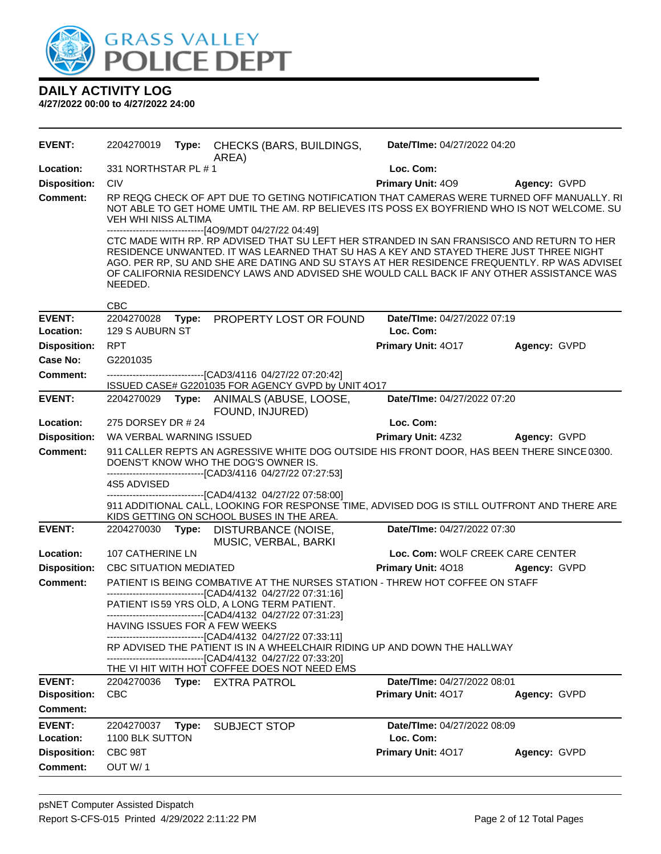

| <b>EVENT:</b>              | 2204270019                    | Type: | CHECKS (BARS, BUILDINGS,<br>AREA)                                                                                                                                                                                                                                                                                                                                                                                                         | Date/TIme: 04/27/2022 04:20              |              |
|----------------------------|-------------------------------|-------|-------------------------------------------------------------------------------------------------------------------------------------------------------------------------------------------------------------------------------------------------------------------------------------------------------------------------------------------------------------------------------------------------------------------------------------------|------------------------------------------|--------------|
| Location:                  | 331 NORTHSTAR PL #1           |       |                                                                                                                                                                                                                                                                                                                                                                                                                                           | Loc. Com:                                |              |
| <b>Disposition:</b>        | <b>CIV</b>                    |       |                                                                                                                                                                                                                                                                                                                                                                                                                                           | Primary Unit: 409                        | Agency: GVPD |
| <b>Comment:</b>            | VEH WHI NISS ALTIMA           |       | RP REQG CHECK OF APT DUE TO GETING NOTIFICATION THAT CAMERAS WERE TURNED OFF MANUALLY. RI<br>NOT ABLE TO GET HOME UMTIL THE AM. RP BELIEVES ITS POSS EX BOYFRIEND WHO IS NOT WELCOME. SU                                                                                                                                                                                                                                                  |                                          |              |
|                            | NEEDED.                       |       | -------------------------------[4O9/MDT 04/27/22 04:49]<br>CTC MADE WITH RP. RP ADVISED THAT SU LEFT HER STRANDED IN SAN FRANSISCO AND RETURN TO HER<br>RESIDENCE UNWANTED. IT WAS LEARNED THAT SU HAS A KEY AND STAYED THERE JUST THREE NIGHT<br>AGO. PER RP, SU AND SHE ARE DATING AND SU STAYS AT HER RESIDENCE FREQUENTLY. RP WAS ADVISEI<br>OF CALIFORNIA RESIDENCY LAWS AND ADVISED SHE WOULD CALL BACK IF ANY OTHER ASSISTANCE WAS |                                          |              |
|                            | <b>CBC</b>                    |       |                                                                                                                                                                                                                                                                                                                                                                                                                                           |                                          |              |
| <b>EVENT:</b><br>Location: | 2204270028<br>129 S AUBURN ST |       | Type: PROPERTY LOST OR FOUND                                                                                                                                                                                                                                                                                                                                                                                                              | Date/TIme: 04/27/2022 07:19<br>Loc. Com: |              |
| <b>Disposition:</b>        | <b>RPT</b>                    |       |                                                                                                                                                                                                                                                                                                                                                                                                                                           | Primary Unit: 4017                       | Agency: GVPD |
| Case No:                   | G2201035                      |       |                                                                                                                                                                                                                                                                                                                                                                                                                                           |                                          |              |
| <b>Comment:</b>            |                               |       | --------------------------------[CAD3/4116 04/27/22 07:20:42]<br>ISSUED CASE# G2201035 FOR AGENCY GVPD by UNIT 4O17                                                                                                                                                                                                                                                                                                                       |                                          |              |
| <b>EVENT:</b>              | 2204270029                    |       | Type: ANIMALS (ABUSE, LOOSE,<br>FOUND, INJURED)                                                                                                                                                                                                                                                                                                                                                                                           | Date/TIme: 04/27/2022 07:20              |              |
| Location:                  | 275 DORSEY DR # 24            |       |                                                                                                                                                                                                                                                                                                                                                                                                                                           | Loc. Com:                                |              |
| <b>Disposition:</b>        | WA VERBAL WARNING ISSUED      |       |                                                                                                                                                                                                                                                                                                                                                                                                                                           | <b>Primary Unit: 4Z32</b>                | Agency: GVPD |
| <b>Comment:</b>            |                               |       | 911 CALLER REPTS AN AGRESSIVE WHITE DOG OUTSIDE HIS FRONT DOOR, HAS BEEN THERE SINCE 0300.<br>DOENS'T KNOW WHO THE DOG'S OWNER IS.<br>------------------------------[CAD3/4116 04/27/22 07:27:53]                                                                                                                                                                                                                                         |                                          |              |
|                            | 4S5 ADVISED                   |       |                                                                                                                                                                                                                                                                                                                                                                                                                                           |                                          |              |
|                            |                               |       | -------------------------------[CAD4/4132 04/27/22 07:58:00]<br>911 ADDITIONAL CALL, LOOKING FOR RESPONSE TIME, ADVISED DOG IS STILL OUTFRONT AND THERE ARE<br>KIDS GETTING ON SCHOOL BUSES IN THE AREA.                                                                                                                                                                                                                                  |                                          |              |
| <b>EVENT:</b>              | 2204270030                    |       | Type: DISTURBANCE (NOISE,<br>MUSIC, VERBAL, BARKI                                                                                                                                                                                                                                                                                                                                                                                         | Date/TIme: 04/27/2022 07:30              |              |
| Location:                  | 107 CATHERINE LN              |       |                                                                                                                                                                                                                                                                                                                                                                                                                                           | Loc. Com: WOLF CREEK CARE CENTER         |              |
| <b>Disposition:</b>        | <b>CBC SITUATION MEDIATED</b> |       |                                                                                                                                                                                                                                                                                                                                                                                                                                           | Primary Unit: 4018                       | Agency: GVPD |
| <b>Comment:</b>            |                               |       | PATIENT IS BEING COMBATIVE AT THE NURSES STATION - THREW HOT COFFEE ON STAFF<br>-------------------------------[CAD4/4132 04/27/22 07:31:16]                                                                                                                                                                                                                                                                                              |                                          |              |
|                            |                               |       | PATIENT IS59 YRS OLD, A LONG TERM PATIENT.<br>-------------------------------[CAD4/4132 04/27/22 07:31:23]                                                                                                                                                                                                                                                                                                                                |                                          |              |
|                            |                               |       | <b>HAVING ISSUES FOR A FEW WEEKS</b><br>-----------------------[CAD4/4132_04/27/22_07:33:11]                                                                                                                                                                                                                                                                                                                                              |                                          |              |
|                            |                               |       | RP ADVISED THE PATIENT IS IN A WHEELCHAIR RIDING UP AND DOWN THE HALLWAY<br>------------------------[CAD4/4132_04/27/22_07:33:20]                                                                                                                                                                                                                                                                                                         |                                          |              |
|                            |                               |       | THE VI HIT WITH HOT COFFEE DOES NOT NEED EMS                                                                                                                                                                                                                                                                                                                                                                                              |                                          |              |
| <b>EVENT:</b>              | 2204270036                    |       | Type: EXTRA PATROL                                                                                                                                                                                                                                                                                                                                                                                                                        | Date/TIme: 04/27/2022 08:01              |              |
| <b>Disposition:</b>        | <b>CBC</b>                    |       |                                                                                                                                                                                                                                                                                                                                                                                                                                           | Primary Unit: 4017                       | Agency: GVPD |
| <b>Comment:</b>            |                               |       |                                                                                                                                                                                                                                                                                                                                                                                                                                           |                                          |              |
| <b>EVENT:</b>              | 2204270037                    | Type: | <b>SUBJECT STOP</b>                                                                                                                                                                                                                                                                                                                                                                                                                       | Date/TIme: 04/27/2022 08:09              |              |
| Location:                  | 1100 BLK SUTTON               |       |                                                                                                                                                                                                                                                                                                                                                                                                                                           | Loc. Com:                                |              |
| <b>Disposition:</b>        | CBC 98T                       |       |                                                                                                                                                                                                                                                                                                                                                                                                                                           | Primary Unit: 4017                       | Agency: GVPD |
| <b>Comment:</b>            | OUT W/1                       |       |                                                                                                                                                                                                                                                                                                                                                                                                                                           |                                          |              |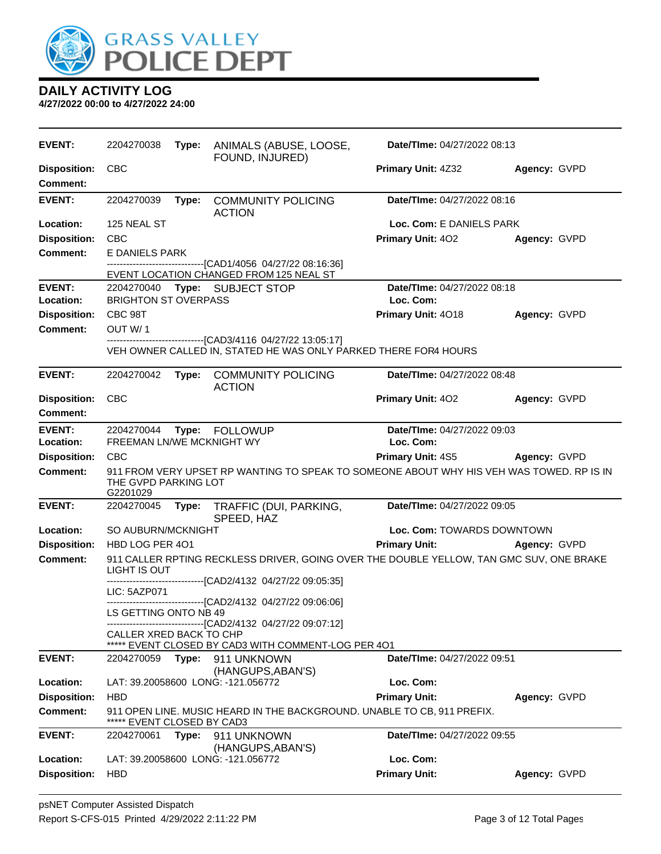

| <b>EVENT:</b>                          | 2204270038                              |       | Type: ANIMALS (ABUSE, LOOSE,<br>FOUND, INJURED)                                                                                       | Date/TIme: 04/27/2022 08:13              |              |
|----------------------------------------|-----------------------------------------|-------|---------------------------------------------------------------------------------------------------------------------------------------|------------------------------------------|--------------|
| <b>Disposition:</b><br><b>Comment:</b> | <b>CBC</b>                              |       |                                                                                                                                       | Primary Unit: 4Z32                       | Agency: GVPD |
| <b>EVENT:</b>                          | 2204270039                              | Type: | <b>COMMUNITY POLICING</b><br><b>ACTION</b>                                                                                            | Date/TIme: 04/27/2022 08:16              |              |
| Location:                              | 125 NEAL ST                             |       |                                                                                                                                       | Loc. Com: E DANIELS PARK                 |              |
| <b>Disposition:</b>                    | <b>CBC</b>                              |       |                                                                                                                                       | Primary Unit: 402                        | Agency: GVPD |
| <b>Comment:</b>                        | E DANIELS PARK                          |       |                                                                                                                                       |                                          |              |
|                                        |                                         |       | -------------------------[CAD1/4056_04/27/22_08:16:36]<br>EVENT LOCATION CHANGED FROM 125 NEAL ST                                     |                                          |              |
| <b>EVENT:</b>                          |                                         |       | 2204270040 Type: SUBJECT STOP                                                                                                         | Date/TIme: 04/27/2022 08:18              |              |
| Location:                              | <b>BRIGHTON ST OVERPASS</b>             |       |                                                                                                                                       | Loc. Com:                                |              |
| <b>Disposition:</b>                    | CBC 98T                                 |       |                                                                                                                                       | Primary Unit: 4018                       | Agency: GVPD |
| <b>Comment:</b>                        | OUT W/1                                 |       |                                                                                                                                       |                                          |              |
|                                        |                                         |       | -------------------------------[CAD3/4116 04/27/22 13:05:17]<br>VEH OWNER CALLED IN, STATED HE WAS ONLY PARKED THERE FOR4 HOURS       |                                          |              |
| <b>EVENT:</b>                          | 2204270042                              | Type: | <b>COMMUNITY POLICING</b><br><b>ACTION</b>                                                                                            | Date/TIme: 04/27/2022 08:48              |              |
| <b>Disposition:</b>                    | <b>CBC</b>                              |       |                                                                                                                                       | <b>Primary Unit: 402</b>                 | Agency: GVPD |
| <b>Comment:</b>                        |                                         |       |                                                                                                                                       |                                          |              |
| <b>EVENT:</b><br><b>Location:</b>      | 2204270044<br>FREEMAN LN/WE MCKNIGHT WY |       | Type: FOLLOWUP                                                                                                                        | Date/TIme: 04/27/2022 09:03<br>Loc. Com: |              |
| <b>Disposition:</b>                    | <b>CBC</b>                              |       |                                                                                                                                       | <b>Primary Unit: 4S5 Agency: GVPD</b>    |              |
| <b>Comment:</b>                        | THE GVPD PARKING LOT<br>G2201029        |       | 911 FROM VERY UPSET RP WANTING TO SPEAK TO SOMEONE ABOUT WHY HIS VEH WAS TOWED. RP IS IN                                              |                                          |              |
| <b>EVENT:</b>                          | 2204270045                              | Type: | TRAFFIC (DUI, PARKING,<br>SPEED, HAZ                                                                                                  | Date/TIme: 04/27/2022 09:05              |              |
| <b>Location:</b>                       | SO AUBURN/MCKNIGHT                      |       |                                                                                                                                       | Loc. Com: TOWARDS DOWNTOWN               |              |
| <b>Disposition:</b>                    | HBD LOG PER 401                         |       |                                                                                                                                       | <b>Primary Unit:</b>                     | Agency: GVPD |
| <b>Comment:</b>                        | LIGHT IS OUT                            |       | 911 CALLER RPTING RECKLESS DRIVER, GOING OVER THE DOUBLE YELLOW, TAN GMC SUV, ONE BRAKE<br>-------------[CAD2/4132 04/27/22 09:05:35] |                                          |              |
|                                        | LIC: 5AZP071                            |       |                                                                                                                                       |                                          |              |
|                                        |                                         |       | ------------------------------[CAD2/4132 04/27/22 09:06:06]                                                                           |                                          |              |
|                                        | LS GETTING ONTO NB 49                   |       | ------------------------------[CAD2/4132_04/27/22_09:07:12]                                                                           |                                          |              |
|                                        | CALLER XRED BACK TO CHP                 |       |                                                                                                                                       |                                          |              |
|                                        |                                         |       | ***** EVENT CLOSED BY CAD3 WITH COMMENT-LOG PER 401                                                                                   | Date/TIme: 04/27/2022 09:51              |              |
| <b>EVENT:</b>                          | 2204270059                              | Type: | 911 UNKNOWN<br>(HANGUPS, ABAN'S)                                                                                                      |                                          |              |
| Location:                              |                                         |       | LAT: 39.20058600 LONG: -121.056772                                                                                                    | Loc. Com:                                |              |
| <b>Disposition:</b>                    | <b>HBD</b>                              |       |                                                                                                                                       | <b>Primary Unit:</b>                     | Agency: GVPD |
| Comment:                               | EVENT CLOSED BY CAD3                    |       | 911 OPEN LINE. MUSIC HEARD IN THE BACKGROUND. UNABLE TO CB, 911 PREFIX.                                                               |                                          |              |
| <b>EVENT:</b>                          | 2204270061                              | Type: | 911 UNKNOWN<br>(HANGUPS, ABAN'S)                                                                                                      | Date/TIme: 04/27/2022 09:55              |              |
| Location:                              |                                         |       | LAT: 39.20058600 LONG: -121.056772                                                                                                    | Loc. Com:                                |              |
| <b>Disposition:</b>                    | HBD                                     |       |                                                                                                                                       | <b>Primary Unit:</b>                     | Agency: GVPD |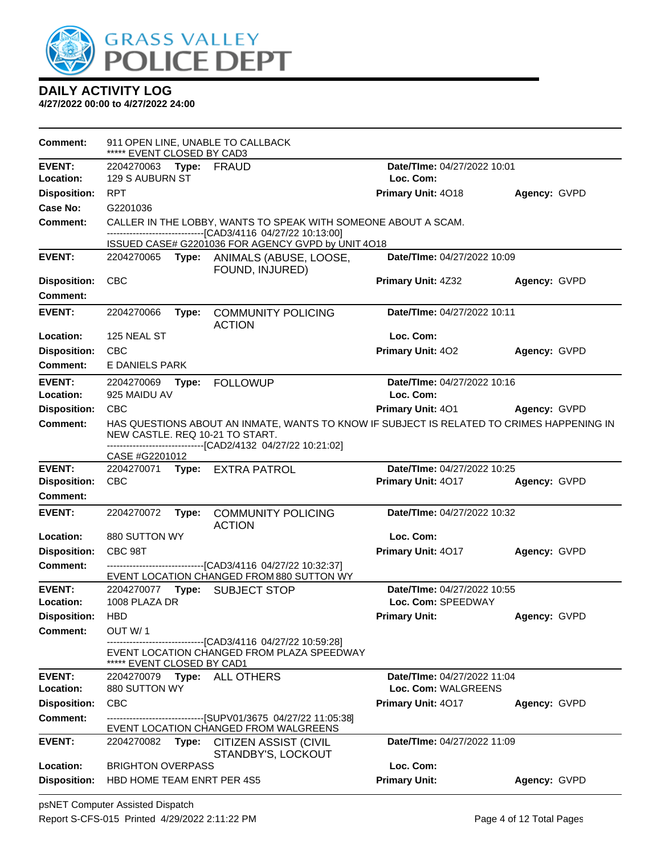

| Comment:            | ***** EVENT CLOSED BY CAD3               |       | 911 OPEN LINE, UNABLE TO CALLBACK                                                                                                                                                            |                                                    |              |
|---------------------|------------------------------------------|-------|----------------------------------------------------------------------------------------------------------------------------------------------------------------------------------------------|----------------------------------------------------|--------------|
| <b>EVENT:</b>       | 2204270063 Type: FRAUD                   |       |                                                                                                                                                                                              | Date/TIme: 04/27/2022 10:01                        |              |
| Location:           | 129 S AUBURN ST                          |       |                                                                                                                                                                                              | Loc. Com:                                          |              |
| <b>Disposition:</b> | <b>RPT</b>                               |       |                                                                                                                                                                                              | Primary Unit: 4018                                 | Agency: GVPD |
| Case No:            | G2201036                                 |       |                                                                                                                                                                                              |                                                    |              |
| Comment:            |                                          |       | CALLER IN THE LOBBY, WANTS TO SPEAK WITH SOMEONE ABOUT A SCAM.<br>-------------------------------[CAD3/4116 04/27/22 10:13:00]                                                               |                                                    |              |
|                     |                                          |       | ISSUED CASE# G2201036 FOR AGENCY GVPD by UNIT 4O18                                                                                                                                           |                                                    |              |
| <b>EVENT:</b>       |                                          |       | 2204270065 Type: ANIMALS (ABUSE, LOOSE,<br>FOUND, INJURED)                                                                                                                                   | Date/TIme: 04/27/2022 10:09                        |              |
| <b>Disposition:</b> | <b>CBC</b>                               |       |                                                                                                                                                                                              | Primary Unit: 4Z32                                 | Agency: GVPD |
| <b>Comment:</b>     |                                          |       |                                                                                                                                                                                              |                                                    |              |
| <b>EVENT:</b>       | 2204270066                               | Type: | <b>COMMUNITY POLICING</b>                                                                                                                                                                    | Date/Time: 04/27/2022 10:11                        |              |
| Location:           | 125 NEAL ST                              |       | <b>ACTION</b>                                                                                                                                                                                | Loc. Com:                                          |              |
|                     |                                          |       |                                                                                                                                                                                              |                                                    |              |
| <b>Disposition:</b> | <b>CBC</b>                               |       |                                                                                                                                                                                              | Primary Unit: 402                                  | Agency: GVPD |
| Comment:            | E DANIELS PARK                           |       |                                                                                                                                                                                              |                                                    |              |
| <b>EVENT:</b>       | 2204270069                               | Type: | <b>FOLLOWUP</b>                                                                                                                                                                              | Date/TIme: 04/27/2022 10:16                        |              |
| Location:           | 925 MAIDU AV                             |       |                                                                                                                                                                                              | Loc. Com:                                          |              |
| <b>Disposition:</b> | <b>CBC</b>                               |       |                                                                                                                                                                                              | <b>Primary Unit: 401</b>                           | Agency: GVPD |
| Comment:            |                                          |       | HAS QUESTIONS ABOUT AN INMATE, WANTS TO KNOW IF SUBJECT IS RELATED TO CRIMES HAPPENING IN<br>NEW CASTLE. REQ 10-21 TO START.<br>-------------------------------[CAD2/4132 04/27/22 10:21:02] |                                                    |              |
|                     | CASE #G2201012                           |       |                                                                                                                                                                                              |                                                    |              |
| <b>EVENT:</b>       | 2204270071                               |       | Type: EXTRA PATROL                                                                                                                                                                           | Date/TIme: 04/27/2022 10:25                        |              |
| <b>Disposition:</b> | <b>CBC</b>                               |       |                                                                                                                                                                                              | Primary Unit: 4017                                 | Agency: GVPD |
| Comment:            |                                          |       |                                                                                                                                                                                              |                                                    |              |
| <b>EVENT:</b>       | 2204270072                               | Type: | <b>COMMUNITY POLICING</b><br><b>ACTION</b>                                                                                                                                                   | Date/TIme: 04/27/2022 10:32                        |              |
| Location:           |                                          |       |                                                                                                                                                                                              |                                                    |              |
|                     |                                          |       |                                                                                                                                                                                              |                                                    |              |
|                     | 880 SUTTON WY                            |       |                                                                                                                                                                                              | Loc. Com:                                          |              |
| <b>Disposition:</b> | CBC 98T                                  |       |                                                                                                                                                                                              | Primary Unit: 4017                                 | Agency: GVPD |
| <b>Comment:</b>     |                                          |       | --------------------------[CAD3/4116 04/27/22 10:32:37]                                                                                                                                      |                                                    |              |
| <b>EVENT:</b>       | 2204270077 Type:                         |       | EVENT LOCATION CHANGED FROM 880 SUTTON WY<br><b>SUBJECT STOP</b>                                                                                                                             | Date/TIme: 04/27/2022 10:55                        |              |
| Location:           | 1008 PLAZA DR                            |       |                                                                                                                                                                                              | Loc. Com: SPEEDWAY                                 |              |
| <b>Disposition:</b> | HBD                                      |       |                                                                                                                                                                                              | <b>Primary Unit:</b>                               | Agency: GVPD |
| Comment:            | OUT W/1                                  |       |                                                                                                                                                                                              |                                                    |              |
|                     |                                          |       | -------------------------------[CAD3/4116 04/27/22 10:59:28]<br>EVENT LOCATION CHANGED FROM PLAZA SPEEDWAY                                                                                   |                                                    |              |
| <b>EVENT:</b>       | ***** EVENT CLOSED BY CAD1<br>2204270079 |       |                                                                                                                                                                                              |                                                    |              |
| Location:           | 880 SUTTON WY                            |       | Type: ALL OTHERS                                                                                                                                                                             | Date/TIme: 04/27/2022 11:04<br>Loc. Com: WALGREENS |              |
| <b>Disposition:</b> | <b>CBC</b>                               |       |                                                                                                                                                                                              | <b>Primary Unit: 4017</b>                          | Agency: GVPD |
| <b>Comment:</b>     |                                          |       | ------------------------------[SUPV01/3675 04/27/22 11:05:38]                                                                                                                                |                                                    |              |
| <b>EVENT:</b>       | 2204270082                               | Type: | EVENT LOCATION CHANGED FROM WALGREENS<br>CITIZEN ASSIST (CIVIL                                                                                                                               | Date/TIme: 04/27/2022 11:09                        |              |
| Location:           | <b>BRIGHTON OVERPASS</b>                 |       | STANDBY'S, LOCKOUT                                                                                                                                                                           | Loc. Com:                                          |              |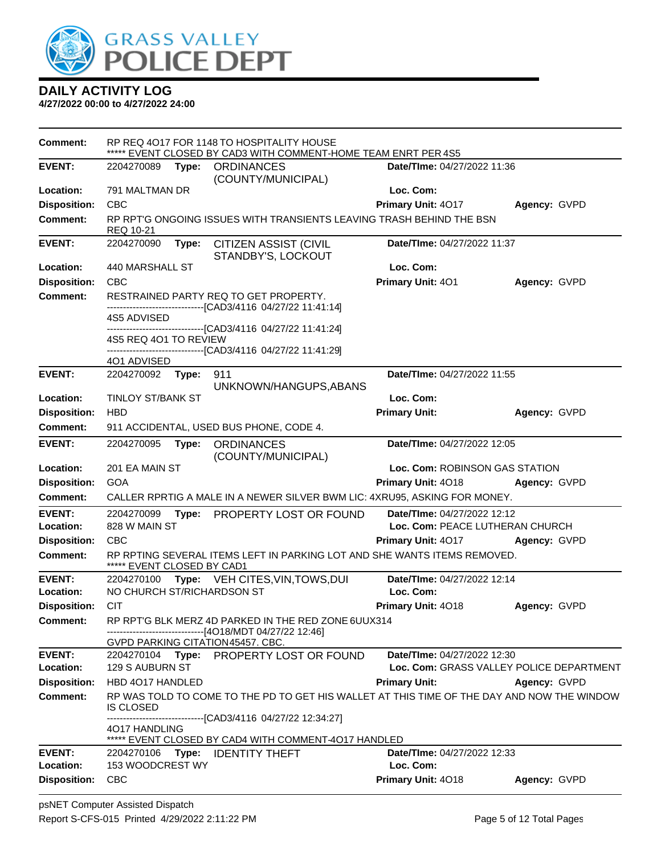

| <b>Comment:</b>                  |                             | RP REQ 4017 FOR 1148 TO HOSPITALITY HOUSE<br>EVENT CLOSED BY CAD3 WITH COMMENT-HOME TEAM ENRT PER 4S5          |                                                              |              |
|----------------------------------|-----------------------------|----------------------------------------------------------------------------------------------------------------|--------------------------------------------------------------|--------------|
| <b>EVENT:</b>                    | 2204270089                  | Type: ORDINANCES<br>(COUNTY/MUNICIPAL)                                                                         | Date/TIme: 04/27/2022 11:36                                  |              |
| Location:                        | 791 MALTMAN DR              |                                                                                                                | Loc. Com:                                                    |              |
| <b>Disposition:</b>              | <b>CBC</b>                  |                                                                                                                | Primary Unit: 4017                                           | Agency: GVPD |
| <b>Comment:</b>                  | REQ 10-21                   | RP RPT'G ONGOING ISSUES WITH TRANSIENTS LEAVING TRASH BEHIND THE BSN                                           |                                                              |              |
| <b>EVENT:</b>                    | 2204270090<br>Type:         | <b>CITIZEN ASSIST (CIVIL</b><br>STANDBY'S, LOCKOUT                                                             | Date/TIme: 04/27/2022 11:37                                  |              |
| Location:                        | 440 MARSHALL ST             |                                                                                                                | Loc. Com:                                                    |              |
| <b>Disposition:</b>              | <b>CBC</b>                  |                                                                                                                | Primary Unit: 401                                            | Agency: GVPD |
| <b>Comment:</b>                  |                             | RESTRAINED PARTY REQ TO GET PROPERTY.                                                                          |                                                              |              |
|                                  | 4S5 ADVISED                 | -------------------------------[CAD3/4116 04/27/22 11:41:14]                                                   |                                                              |              |
|                                  | 4S5 REQ 4O1 TO REVIEW       | -------------------------------[CAD3/4116 04/27/22 11:41:24]                                                   |                                                              |              |
|                                  | 4O1 ADVISED                 | ------------------------------[CAD3/4116 04/27/22 11:41:29]                                                    |                                                              |              |
| <b>EVENT:</b>                    | 2204270092 Type:            | 911                                                                                                            | Date/TIme: 04/27/2022 11:55                                  |              |
|                                  |                             | UNKNOWN/HANGUPS, ABANS                                                                                         |                                                              |              |
| Location:                        | <b>TINLOY ST/BANK ST</b>    |                                                                                                                | Loc. Com:                                                    |              |
| <b>Disposition:</b>              | <b>HBD</b>                  |                                                                                                                | <b>Primary Unit:</b>                                         | Agency: GVPD |
| <b>Comment:</b>                  |                             | 911 ACCIDENTAL, USED BUS PHONE, CODE 4.                                                                        |                                                              |              |
| <b>EVENT:</b>                    | 2204270095                  | Type: ORDINANCES<br>(COUNTY/MUNICIPAL)                                                                         | Date/TIme: 04/27/2022 12:05                                  |              |
| Location:                        | 201 EA MAIN ST              |                                                                                                                | <b>Loc. Com: ROBINSON GAS STATION</b>                        |              |
| <b>Disposition:</b>              | GOA                         |                                                                                                                | Primary Unit: 4018                                           | Agency: GVPD |
| Comment:                         |                             | CALLER RPRTIG A MALE IN A NEWER SILVER BWM LIC: 4XRU95, ASKING FOR MONEY.                                      |                                                              |              |
| <b>EVENT:</b>                    | 2204270099<br>Type:         | PROPERTY LOST OR FOUND                                                                                         | Date/TIme: 04/27/2022 12:12                                  |              |
| Location:<br><b>Disposition:</b> | 828 W MAIN ST<br><b>CBC</b> |                                                                                                                | Loc. Com: PEACE LUTHERAN CHURCH<br><b>Primary Unit: 4017</b> | Agency: GVPD |
| Comment:                         |                             | RP RPTING SEVERAL ITEMS LEFT IN PARKING LOT AND SHE WANTS ITEMS REMOVED.                                       |                                                              |              |
| <b>EVENT:</b>                    | ***** EVENT CLOSED BY CAD1  | 2204270100 Type: VEH CITES, VIN, TOWS, DUI                                                                     | Date/TIme: 04/27/2022 12:14                                  |              |
| Location:                        | NO CHURCH ST/RICHARDSON ST  |                                                                                                                | Loc. Com:                                                    |              |
| <b>Disposition:</b>              | <b>CIT</b>                  |                                                                                                                | <b>Primary Unit: 4018</b>                                    | Agency: GVPD |
| <b>Comment:</b>                  |                             | RP RPT'G BLK MERZ 4D PARKED IN THE RED ZONE 6UUX314                                                            |                                                              |              |
|                                  |                             | -------------------------[4O18/MDT 04/27/22 12:46]<br>GVPD PARKING CITATION45457. CBC.                         |                                                              |              |
| <b>EVENT:</b>                    | 2204270104                  | Type: PROPERTY LOST OR FOUND                                                                                   | Date/TIme: 04/27/2022 12:30                                  |              |
| Location:                        | 129 S AUBURN ST             |                                                                                                                | Loc. Com: GRASS VALLEY POLICE DEPARTMENT                     |              |
| <b>Disposition:</b>              | HBD 4017 HANDLED            |                                                                                                                | <b>Primary Unit:</b>                                         | Agency: GVPD |
| Comment:                         | IS CLOSED                   | RP WAS TOLD TO COME TO THE PD TO GET HIS WALLET AT THIS TIME OF THE DAY AND NOW THE WINDOW                     |                                                              |              |
|                                  | 4017 HANDLING               | -------------------------[CAD3/4116_04/27/22_12:34:27]<br>***** EVENT CLOSED BY CAD4 WITH COMMENT-4017 HANDLED |                                                              |              |
| <b>EVENT:</b>                    | 2204270106<br>Type:         | <b>IDENTITY THEFT</b>                                                                                          | <b>Date/TIme: 04/27/2022 12:33</b>                           |              |
| Location:                        | 153 WOODCREST WY            |                                                                                                                | Loc. Com:                                                    |              |
| <b>Disposition:</b>              | <b>CBC</b>                  |                                                                                                                | Primary Unit: 4018                                           | Agency: GVPD |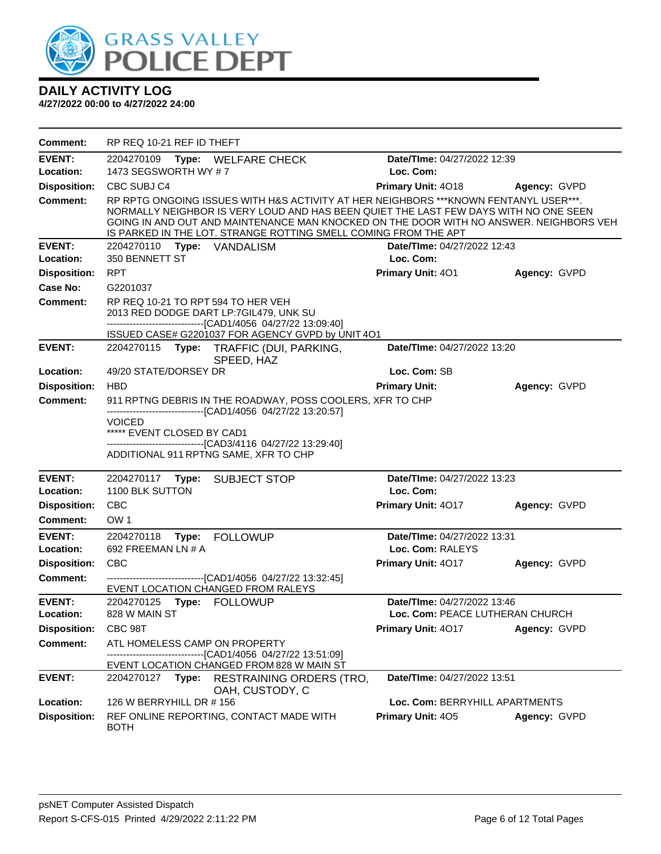

| Comment:                   | RP REQ 10-21 REF ID THEFT                                                                                                                                                                                                                                                                                                                  |                                                 |              |
|----------------------------|--------------------------------------------------------------------------------------------------------------------------------------------------------------------------------------------------------------------------------------------------------------------------------------------------------------------------------------------|-------------------------------------------------|--------------|
| <b>EVENT:</b><br>Location: | 2204270109 Type: WELFARE CHECK<br>1473 SEGSWORTH WY #7                                                                                                                                                                                                                                                                                     | <b>Date/Time: 04/27/2022 12:39</b><br>Loc. Com: |              |
| <b>Disposition:</b>        | CBC SUBJ C4                                                                                                                                                                                                                                                                                                                                | Primary Unit: 4018                              | Agency: GVPD |
| <b>Comment:</b>            | RP RPTG ONGOING ISSUES WITH H&S ACTIVITY AT HER NEIGHBORS *** KNOWN FENTANYL USER***.<br>NORMALLY NEIGHBOR IS VERY LOUD AND HAS BEEN QUIET THE LAST FEW DAYS WITH NO ONE SEEN<br>GOING IN AND OUT AND MAINTENANCE MAN KNOCKED ON THE DOOR WITH NO ANSWER. NEIGHBORS VEH<br>IS PARKED IN THE LOT. STRANGE ROTTING SMELL COMING FROM THE APT |                                                 |              |
| <b>EVENT:</b>              | 2204270110 Type: VANDALISM                                                                                                                                                                                                                                                                                                                 | <b>Date/Time: 04/27/2022 12:43</b>              |              |
| Location:                  | 350 BENNETT ST                                                                                                                                                                                                                                                                                                                             | Loc. Com:                                       |              |
| <b>Disposition:</b>        | <b>RPT</b>                                                                                                                                                                                                                                                                                                                                 | Primary Unit: 401                               | Agency: GVPD |
| Case No:                   | G2201037                                                                                                                                                                                                                                                                                                                                   |                                                 |              |
| Comment:                   | RP REQ 10-21 TO RPT 594 TO HER VEH<br>2013 RED DODGE DART LP:7GIL479, UNK SU<br>-------------------------------[CAD1/4056 04/27/22 13:09:40]                                                                                                                                                                                               |                                                 |              |
|                            | ISSUED CASE# G2201037 FOR AGENCY GVPD by UNIT 4O1                                                                                                                                                                                                                                                                                          |                                                 |              |
| <b>EVENT:</b>              | 2204270115 Type: TRAFFIC (DUI, PARKING,<br>SPEED, HAZ                                                                                                                                                                                                                                                                                      | Date/TIme: 04/27/2022 13:20                     |              |
| Location:                  | 49/20 STATE/DORSEY DR                                                                                                                                                                                                                                                                                                                      | Loc. Com: SB                                    |              |
| <b>Disposition:</b>        | <b>HBD</b>                                                                                                                                                                                                                                                                                                                                 | <b>Primary Unit:</b>                            | Agency: GVPD |
| <b>Comment:</b>            | 911 RPTNG DEBRIS IN THE ROADWAY, POSS COOLERS, XFR TO CHP                                                                                                                                                                                                                                                                                  |                                                 |              |
|                            | <b>VOICED</b><br>***** EVENT CLOSED BY CAD1<br>-------------------------------[CAD3/4116 04/27/22 13:29:40]<br>ADDITIONAL 911 RPTNG SAME, XFR TO CHP                                                                                                                                                                                       |                                                 |              |
| <b>EVENT:</b>              | 2204270117 Type: SUBJECT STOP                                                                                                                                                                                                                                                                                                              | Date/TIme: 04/27/2022 13:23                     |              |
| Location:                  | 1100 BLK SUTTON                                                                                                                                                                                                                                                                                                                            | Loc. Com:                                       |              |
| <b>Disposition:</b>        | <b>CBC</b>                                                                                                                                                                                                                                                                                                                                 | Primary Unit: 4017                              | Agency: GVPD |
| Comment:                   | OW <sub>1</sub>                                                                                                                                                                                                                                                                                                                            |                                                 |              |
| <b>EVENT:</b><br>Location: | 2204270118<br><b>FOLLOWUP</b><br>Type:<br>692 FREEMAN LN # A                                                                                                                                                                                                                                                                               | Date/TIme: 04/27/2022 13:31<br>Loc. Com: RALEYS |              |
| <b>Disposition:</b>        | CBC                                                                                                                                                                                                                                                                                                                                        | <b>Primary Unit: 4017</b>                       | Agency: GVPD |
| <b>Comment:</b>            | -------------------------------[CAD1/4056 04/27/22 13:32:45]<br>EVENT LOCATION CHANGED FROM RALEYS                                                                                                                                                                                                                                         |                                                 |              |
| <b>EVENT:</b>              | 2204270125 Type: FOLLOWUP                                                                                                                                                                                                                                                                                                                  | Date/TIme: 04/27/2022 13:46                     |              |
| Location:                  | 828 W MAIN ST                                                                                                                                                                                                                                                                                                                              | Loc. Com: PEACE LUTHERAN CHURCH                 |              |
| <b>Disposition:</b>        | CBC 98T                                                                                                                                                                                                                                                                                                                                    | Primary Unit: 4017                              | Agency: GVPD |
| <b>Comment:</b>            | ATL HOMELESS CAMP ON PROPERTY<br>-------[CAD1/4056 04/27/22 13:51:09]<br>EVENT LOCATION CHANGED FROM 828 W MAIN ST                                                                                                                                                                                                                         |                                                 |              |
| <b>EVENT:</b>              | 2204270127 Type:<br>RESTRAINING ORDERS (TRO,<br>OAH, CUSTODY, C                                                                                                                                                                                                                                                                            | Date/TIme: 04/27/2022 13:51                     |              |
| Location:                  | 126 W BERRYHILL DR # 156                                                                                                                                                                                                                                                                                                                   | Loc. Com: BERRYHILL APARTMENTS                  |              |
| <b>Disposition:</b>        | REF ONLINE REPORTING, CONTACT MADE WITH<br><b>BOTH</b>                                                                                                                                                                                                                                                                                     | Primary Unit: 405                               | Agency: GVPD |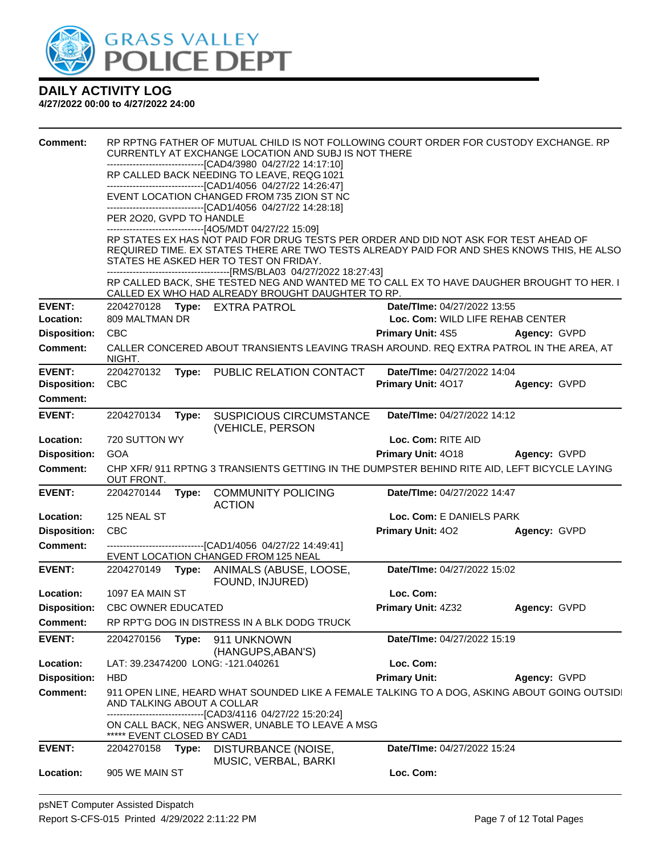

| <b>Comment:</b>     |                                    |       | RP RPTNG FATHER OF MUTUAL CHILD IS NOT FOLLOWING COURT ORDER FOR CUSTODY EXCHANGE. RP<br>CURRENTLY AT EXCHANGE LOCATION AND SUBJ IS NOT THERE   |                                    |              |
|---------------------|------------------------------------|-------|-------------------------------------------------------------------------------------------------------------------------------------------------|------------------------------------|--------------|
|                     |                                    |       | -------------------------------[CAD4/3980 04/27/22 14:17:10]<br>RP CALLED BACK NEEDING TO LEAVE, REQG 1021                                      |                                    |              |
|                     |                                    |       | -------------------------------[CAD1/4056 04/27/22 14:26:47]                                                                                    |                                    |              |
|                     |                                    |       | EVENT LOCATION CHANGED FROM 735 ZION ST NC<br>--------------------------[CAD1/4056_04/27/22_14:28:18]                                           |                                    |              |
|                     | PER 2020, GVPD TO HANDLE           |       |                                                                                                                                                 |                                    |              |
|                     |                                    |       | -------------------------------[4O5/MDT 04/27/22 15:09]<br>RP STATES EX HAS NOT PAID FOR DRUG TESTS PER ORDER AND DID NOT ASK FOR TEST AHEAD OF |                                    |              |
|                     |                                    |       | REQUIRED TIME. EX STATES THERE ARE TWO TESTS ALREADY PAID FOR AND SHES KNOWS THIS, HE ALSO                                                      |                                    |              |
|                     |                                    |       | STATES HE ASKED HER TO TEST ON FRIDAY.                                                                                                          |                                    |              |
|                     |                                    |       | RP CALLED BACK, SHE TESTED NEG AND WANTED ME TO CALL EX TO HAVE DAUGHER BROUGHT TO HER. I<br>CALLED EX WHO HAD ALREADY BROUGHT DAUGHTER TO RP.  |                                    |              |
| <b>EVENT:</b>       |                                    |       | 2204270128 Type: EXTRA PATROL                                                                                                                   | Date/TIme: 04/27/2022 13:55        |              |
| Location:           | 809 MALTMAN DR                     |       |                                                                                                                                                 | Loc. Com: WILD LIFE REHAB CENTER   |              |
| <b>Disposition:</b> | <b>CBC</b>                         |       |                                                                                                                                                 | Primary Unit: 4S5                  | Agency: GVPD |
| Comment:            | NIGHT.                             |       | CALLER CONCERED ABOUT TRANSIENTS LEAVING TRASH AROUND. REQ EXTRA PATROL IN THE AREA, AT                                                         |                                    |              |
| <b>EVENT:</b>       | 2204270132                         | Type: | PUBLIC RELATION CONTACT                                                                                                                         | Date/TIme: 04/27/2022 14:04        |              |
| <b>Disposition:</b> | <b>CBC</b>                         |       |                                                                                                                                                 | Primary Unit: 4017                 | Agency: GVPD |
| <b>Comment:</b>     |                                    |       |                                                                                                                                                 |                                    |              |
| <b>EVENT:</b>       | 2204270134                         | Type: | <b>SUSPICIOUS CIRCUMSTANCE</b><br>(VEHICLE, PERSON                                                                                              | Date/TIme: 04/27/2022 14:12        |              |
| Location:           | 720 SUTTON WY                      |       |                                                                                                                                                 | Loc. Com: RITE AID                 |              |
| <b>Disposition:</b> | <b>GOA</b>                         |       |                                                                                                                                                 | Primary Unit: 4018                 | Agency: GVPD |
| <b>Comment:</b>     |                                    |       | CHP XFR/ 911 RPTNG 3 TRANSIENTS GETTING IN THE DUMPSTER BEHIND RITE AID, LEFT BICYCLE LAYING                                                    |                                    |              |
|                     | OUT FRONT.                         |       |                                                                                                                                                 |                                    |              |
| <b>EVENT:</b>       | 2204270144                         | Type: | <b>COMMUNITY POLICING</b><br><b>ACTION</b>                                                                                                      | Date/TIme: 04/27/2022 14:47        |              |
| Location:           | 125 NEAL ST                        |       |                                                                                                                                                 | Loc. Com: E DANIELS PARK           |              |
| <b>Disposition:</b> | CBC                                |       |                                                                                                                                                 | Primary Unit: 402                  | Agency: GVPD |
| <b>Comment:</b>     |                                    |       | -------------------------------[CAD1/4056 04/27/22 14:49:41]                                                                                    |                                    |              |
|                     |                                    |       | EVENT LOCATION CHANGED FROM 125 NEAL                                                                                                            |                                    |              |
| <b>EVENT:</b>       | 2204270149 Type:                   |       | ANIMALS (ABUSE, LOOSE,                                                                                                                          | Date/TIme: 04/27/2022 15:02        |              |
| Location:           | 1097 EA MAIN ST                    |       | FOUND, INJURED)                                                                                                                                 | Loc. Com:                          |              |
| <b>Disposition:</b> | <b>CBC OWNER EDUCATED</b>          |       |                                                                                                                                                 | Primary Unit: 4Z32                 | Agency: GVPD |
| <b>Comment:</b>     |                                    |       | RP RPT'G DOG IN DISTRESS IN A BLK DODG TRUCK                                                                                                    |                                    |              |
| <b>EVENT:</b>       | 2204270156                         | Type: | 911 UNKNOWN<br>(HANGUPS, ABAN'S)                                                                                                                | Date/TIme: 04/27/2022 15:19        |              |
| Location:           |                                    |       | LAT: 39.23474200 LONG: -121.040261                                                                                                              | Loc. Com:                          |              |
| <b>Disposition:</b> | <b>HBD</b>                         |       |                                                                                                                                                 | <b>Primary Unit:</b>               | Agency: GVPD |
| <b>Comment:</b>     | AND TALKING ABOUT A COLLAR         |       | 911 OPEN LINE, HEARD WHAT SOUNDED LIKE A FEMALE TALKING TO A DOG, ASKING ABOUT GOING OUTSIDI                                                    |                                    |              |
|                     |                                    |       | -----------------[CAD3/4116_04/27/22_15:20:24]<br>ON CALL BACK, NEG ANSWER, UNABLE TO LEAVE A MSG                                               |                                    |              |
| <b>EVENT:</b>       | EVENT CLOSED BY CAD1<br>2204270158 | Type: | DISTURBANCE (NOISE,<br>MUSIC, VERBAL, BARKI                                                                                                     | <b>Date/TIme: 04/27/2022 15:24</b> |              |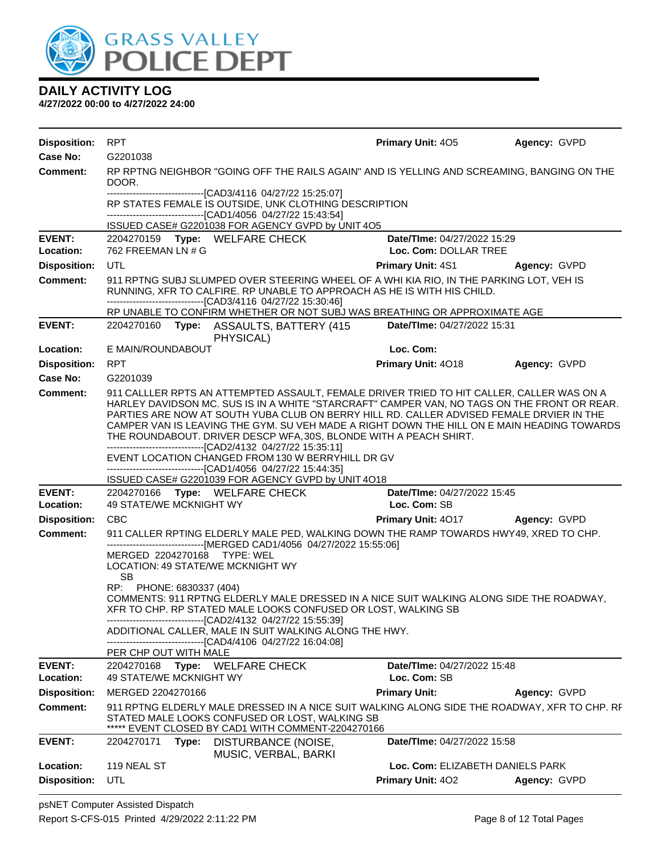

| <b>Disposition:</b> | <b>RPT</b>                                                                                                                                                                                                                                                                                                                                                                                                                                                                                                              | <b>Primary Unit: 405</b>               | Agency: GVPD |
|---------------------|-------------------------------------------------------------------------------------------------------------------------------------------------------------------------------------------------------------------------------------------------------------------------------------------------------------------------------------------------------------------------------------------------------------------------------------------------------------------------------------------------------------------------|----------------------------------------|--------------|
| <b>Case No:</b>     | G2201038                                                                                                                                                                                                                                                                                                                                                                                                                                                                                                                |                                        |              |
| Comment:            | RP RPTNG NEIGHBOR "GOING OFF THE RAILS AGAIN" AND IS YELLING AND SCREAMING, BANGING ON THE<br>DOOR.                                                                                                                                                                                                                                                                                                                                                                                                                     |                                        |              |
|                     | -------------------------------[CAD3/4116 04/27/22 15:25:07]<br>RP STATES FEMALE IS OUTSIDE, UNK CLOTHING DESCRIPTION<br>-------------------------------[CAD1/4056 04/27/22 15:43:54]                                                                                                                                                                                                                                                                                                                                   |                                        |              |
|                     | ISSUED CASE# G2201038 FOR AGENCY GVPD by UNIT 4O5                                                                                                                                                                                                                                                                                                                                                                                                                                                                       |                                        |              |
| <b>EVENT:</b>       | 2204270159 Type: WELFARE CHECK                                                                                                                                                                                                                                                                                                                                                                                                                                                                                          | Date/TIme: 04/27/2022 15:29            |              |
| Location:           | 762 FREEMAN LN # G                                                                                                                                                                                                                                                                                                                                                                                                                                                                                                      | Loc. Com: DOLLAR TREE                  |              |
| <b>Disposition:</b> | <b>UTL</b>                                                                                                                                                                                                                                                                                                                                                                                                                                                                                                              | Primary Unit: 4S1                      | Agency: GVPD |
| <b>Comment:</b>     | 911 RPTNG SUBJ SLUMPED OVER STEERING WHEEL OF A WHI KIA RIO, IN THE PARKING LOT, VEH IS<br>RUNNING, XFR TO CALFIRE. RP UNABLE TO APPROACH AS HE IS WITH HIS CHILD.<br>-------------------------------[CAD3/4116 04/27/22 15:30:46]                                                                                                                                                                                                                                                                                      |                                        |              |
|                     | RP UNABLE TO CONFIRM WHETHER OR NOT SUBJ WAS BREATHING OR APPROXIMATE AGE                                                                                                                                                                                                                                                                                                                                                                                                                                               |                                        |              |
| <b>EVENT:</b>       | 2204270160 Type: ASSAULTS, BATTERY (415<br>PHYSICAL)                                                                                                                                                                                                                                                                                                                                                                                                                                                                    | Date/TIme: 04/27/2022 15:31            |              |
| Location:           | E MAIN/ROUNDABOUT                                                                                                                                                                                                                                                                                                                                                                                                                                                                                                       | Loc. Com:                              |              |
| <b>Disposition:</b> | <b>RPT</b>                                                                                                                                                                                                                                                                                                                                                                                                                                                                                                              | Primary Unit: 4018                     | Agency: GVPD |
| Case No:            | G2201039                                                                                                                                                                                                                                                                                                                                                                                                                                                                                                                |                                        |              |
| Comment:            | 911 CALLLER RPTS AN ATTEMPTED ASSAULT, FEMALE DRIVER TRIED TO HIT CALLER, CALLER WAS ON A<br>HARLEY DAVIDSON MC. SUS IS IN A WHITE "STARCRAFT" CAMPER VAN, NO TAGS ON THE FRONT OR REAR.<br>PARTIES ARE NOW AT SOUTH YUBA CLUB ON BERRY HILL RD. CALLER ADVISED FEMALE DRVIER IN THE<br>CAMPER VAN IS LEAVING THE GYM. SU VEH MADE A RIGHT DOWN THE HILL ON E MAIN HEADING TOWARDS<br>THE ROUNDABOUT. DRIVER DESCP WFA, 30S, BLONDE WITH A PEACH SHIRT.<br>-------------------------------[CAD2/4132 04/27/22 15:35:11] |                                        |              |
|                     | EVENT LOCATION CHANGED FROM 130 W BERRYHILL DR GV<br>-------------------------------[CAD1/4056 04/27/22 15:44:35]<br>ISSUED CASE# G2201039 FOR AGENCY GVPD by UNIT 4O18                                                                                                                                                                                                                                                                                                                                                 |                                        |              |
| <b>EVENT:</b>       | 2204270166 Type: WELFARE CHECK                                                                                                                                                                                                                                                                                                                                                                                                                                                                                          | Date/TIme: 04/27/2022 15:45            |              |
| Location:           | <b>49 STATE/WE MCKNIGHT WY</b>                                                                                                                                                                                                                                                                                                                                                                                                                                                                                          | Loc. Com: SB                           |              |
| <b>Disposition:</b> | <b>CBC</b>                                                                                                                                                                                                                                                                                                                                                                                                                                                                                                              | <b>Primary Unit: 4017 Agency: GVPD</b> |              |
| <b>Comment:</b>     | 911 CALLER RPTING ELDERLY MALE PED, WALKING DOWN THE RAMP TOWARDS HWY49, XRED TO CHP.<br>-------------------------------[MERGED CAD1/4056 04/27/2022 15:55:06]                                                                                                                                                                                                                                                                                                                                                          |                                        |              |
|                     | MERGED 2204270168 TYPE: WEL<br>LOCATION: 49 STATE/WE MCKNIGHT WY<br><b>SB</b>                                                                                                                                                                                                                                                                                                                                                                                                                                           |                                        |              |
|                     | RP: PHONE: 6830337 (404)<br>COMMENTS: 911 RPTNG ELDERLY MALE DRESSED IN A NICE SUIT WALKING ALONG SIDE THE ROADWAY,<br>XFR TO CHP. RP STATED MALE LOOKS CONFUSED OR LOST, WALKING SB<br>-----------------------[CAD2/4132_04/27/22 15:55:39]<br>ADDITIONAL CALLER, MALE IN SUIT WALKING ALONG THE HWY.                                                                                                                                                                                                                  |                                        |              |
|                     | --------------------------------[CAD4/4106 04/27/22 16:04:08]<br>PER CHP OUT WITH MALE                                                                                                                                                                                                                                                                                                                                                                                                                                  |                                        |              |
| <b>EVENT:</b>       | Type: WELFARE CHECK<br>2204270168                                                                                                                                                                                                                                                                                                                                                                                                                                                                                       | Date/TIme: 04/27/2022 15:48            |              |
| Location:           | 49 STATE/WE MCKNIGHT WY                                                                                                                                                                                                                                                                                                                                                                                                                                                                                                 | Loc. Com: SB                           |              |
| <b>Disposition:</b> | MERGED 2204270166                                                                                                                                                                                                                                                                                                                                                                                                                                                                                                       | <b>Primary Unit:</b>                   | Agency: GVPD |
| <b>Comment:</b>     | 911 RPTNG ELDERLY MALE DRESSED IN A NICE SUIT WALKING ALONG SIDE THE ROADWAY, XFR TO CHP. RF<br>STATED MALE LOOKS CONFUSED OR LOST, WALKING SB<br>EVENT CLOSED BY CAD1 WITH COMMENT-2204270166                                                                                                                                                                                                                                                                                                                          |                                        |              |
| <b>EVENT:</b>       | 2204270171<br>Type:<br>DISTURBANCE (NOISE,<br>MUSIC, VERBAL, BARKI                                                                                                                                                                                                                                                                                                                                                                                                                                                      | Date/TIme: 04/27/2022 15:58            |              |
| Location:           | 119 NEAL ST                                                                                                                                                                                                                                                                                                                                                                                                                                                                                                             | Loc. Com: ELIZABETH DANIELS PARK       |              |
| <b>Disposition:</b> | UTL                                                                                                                                                                                                                                                                                                                                                                                                                                                                                                                     | Primary Unit: 402                      | Agency: GVPD |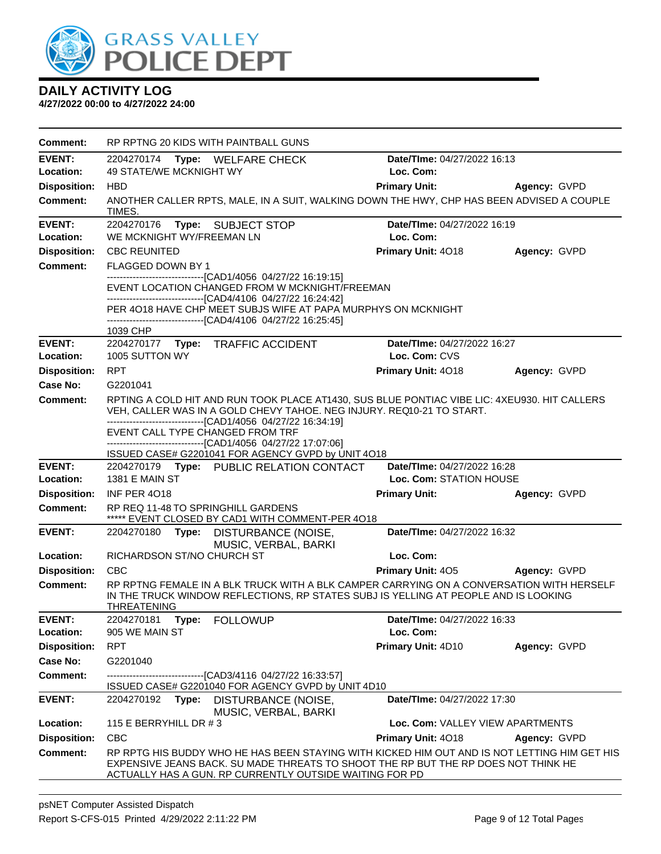

| Comment:            | RP RPTNG 20 KIDS WITH PAINTBALL GUNS                                                                                                                                                                                                          |                                  |              |
|---------------------|-----------------------------------------------------------------------------------------------------------------------------------------------------------------------------------------------------------------------------------------------|----------------------------------|--------------|
| <b>EVENT:</b>       | 2204270174 Type: WELFARE CHECK                                                                                                                                                                                                                | Date/TIme: 04/27/2022 16:13      |              |
| Location:           | 49 STATE/WE MCKNIGHT WY                                                                                                                                                                                                                       | Loc. Com:                        |              |
| <b>Disposition:</b> | <b>HBD</b>                                                                                                                                                                                                                                    | <b>Primary Unit:</b>             | Agency: GVPD |
| <b>Comment:</b>     | ANOTHER CALLER RPTS, MALE, IN A SUIT, WALKING DOWN THE HWY, CHP HAS BEEN ADVISED A COUPLE<br><b>TIMES</b>                                                                                                                                     |                                  |              |
| <b>EVENT:</b>       | Type: SUBJECT STOP<br>2204270176                                                                                                                                                                                                              | Date/TIme: 04/27/2022 16:19      |              |
| Location:           | WE MCKNIGHT WY/FREEMAN LN                                                                                                                                                                                                                     | Loc. Com:                        |              |
| <b>Disposition:</b> | <b>CBC REUNITED</b>                                                                                                                                                                                                                           | Primary Unit: 4018               | Agency: GVPD |
| <b>Comment:</b>     | FLAGGED DOWN BY 1                                                                                                                                                                                                                             |                                  |              |
|                     | -------------------------------[CAD1/4056_04/27/22 16:19:15]<br>EVENT LOCATION CHANGED FROM W MCKNIGHT/FREEMAN                                                                                                                                |                                  |              |
|                     | -------------------------------[CAD4/4106 04/27/22 16:24:42]                                                                                                                                                                                  |                                  |              |
|                     | PER 4018 HAVE CHP MEET SUBJS WIFE AT PAPA MURPHYS ON MCKNIGHT                                                                                                                                                                                 |                                  |              |
|                     | -------------------------------[CAD4/4106 04/27/22 16:25:45]<br>1039 CHP                                                                                                                                                                      |                                  |              |
| <b>EVENT:</b>       | 2204270177 Type: TRAFFIC ACCIDENT                                                                                                                                                                                                             | Date/TIme: 04/27/2022 16:27      |              |
| Location:           | 1005 SUTTON WY                                                                                                                                                                                                                                | Loc. Com: CVS                    |              |
| <b>Disposition:</b> | <b>RPT</b>                                                                                                                                                                                                                                    | Primary Unit: 4018               | Agency: GVPD |
| Case No:            | G2201041                                                                                                                                                                                                                                      |                                  |              |
| Comment:            | RPTING A COLD HIT AND RUN TOOK PLACE AT1430, SUS BLUE PONTIAC VIBE LIC: 4XEU930. HIT CALLERS                                                                                                                                                  |                                  |              |
|                     | VEH, CALLER WAS IN A GOLD CHEVY TAHOE. NEG INJURY. REQ10-21 TO START.<br>---------------------------[CAD1/4056_04/27/22_16:34:19]                                                                                                             |                                  |              |
|                     | EVENT CALL TYPE CHANGED FROM TRF                                                                                                                                                                                                              |                                  |              |
|                     | -------------------------------[CAD1/4056 04/27/22 17:07:06]                                                                                                                                                                                  |                                  |              |
| <b>EVENT:</b>       | ISSUED CASE# G2201041 FOR AGENCY GVPD by UNIT 4O18<br>2204270179 Type: PUBLIC RELATION CONTACT                                                                                                                                                | Date/TIme: 04/27/2022 16:28      |              |
| Location:           | 1381 E MAIN ST                                                                                                                                                                                                                                | Loc. Com: STATION HOUSE          |              |
| <b>Disposition:</b> | <b>INF PER 4018</b>                                                                                                                                                                                                                           | <b>Primary Unit:</b>             | Agency: GVPD |
| <b>Comment:</b>     | RP REQ 11-48 TO SPRINGHILL GARDENS                                                                                                                                                                                                            |                                  |              |
|                     | ***** EVENT CLOSED BY CAD1 WITH COMMENT-PER 4018                                                                                                                                                                                              |                                  |              |
| <b>EVENT:</b>       | 2204270180 Type:<br>DISTURBANCE (NOISE,<br>MUSIC, VERBAL, BARKI                                                                                                                                                                               | Date/TIme: 04/27/2022 16:32      |              |
| Location:           | RICHARDSON ST/NO CHURCH ST                                                                                                                                                                                                                    | Loc. Com:                        |              |
| <b>Disposition:</b> | <b>CBC</b>                                                                                                                                                                                                                                    | <b>Primary Unit: 405</b>         | Agency: GVPD |
| Comment:            | RP RPTNG FEMALE IN A BLK TRUCK WITH A BLK CAMPER CARRYING ON A CONVERSATION WITH HERSELF<br>IN THE TRUCK WINDOW REFLECTIONS, RP STATES SUBJ IS YELLING AT PEOPLE AND IS LOOKING<br><b>THREATENING</b>                                         |                                  |              |
| <b>EVENT:</b>       | 2204270181<br>Type:<br><b>FOLLOWUP</b>                                                                                                                                                                                                        | Date/TIme: 04/27/2022 16:33      |              |
| Location:           | 905 WE MAIN ST                                                                                                                                                                                                                                | Loc. Com:                        |              |
| <b>Disposition:</b> | <b>RPT</b>                                                                                                                                                                                                                                    | Primary Unit: 4D10               | Agency: GVPD |
| Case No:            | G2201040                                                                                                                                                                                                                                      |                                  |              |
| <b>Comment:</b>     | -------------------[CAD3/4116_04/27/22_16:33:57]                                                                                                                                                                                              |                                  |              |
| <b>EVENT:</b>       | ISSUED CASE# G2201040 FOR AGENCY GVPD by UNIT 4D10<br>2204270192<br>Type: DISTURBANCE (NOISE,                                                                                                                                                 | Date/TIme: 04/27/2022 17:30      |              |
|                     | MUSIC, VERBAL, BARKI                                                                                                                                                                                                                          |                                  |              |
| Location:           | 115 E BERRYHILL DR #3                                                                                                                                                                                                                         | Loc. Com: VALLEY VIEW APARTMENTS |              |
| <b>Disposition:</b> | <b>CBC</b>                                                                                                                                                                                                                                    | Primary Unit: 4018               | Agency: GVPD |
| <b>Comment:</b>     | RP RPTG HIS BUDDY WHO HE HAS BEEN STAYING WITH KICKED HIM OUT AND IS NOT LETTING HIM GET HIS<br>EXPENSIVE JEANS BACK. SU MADE THREATS TO SHOOT THE RP BUT THE RP DOES NOT THINK HE<br>ACTUALLY HAS A GUN. RP CURRENTLY OUTSIDE WAITING FOR PD |                                  |              |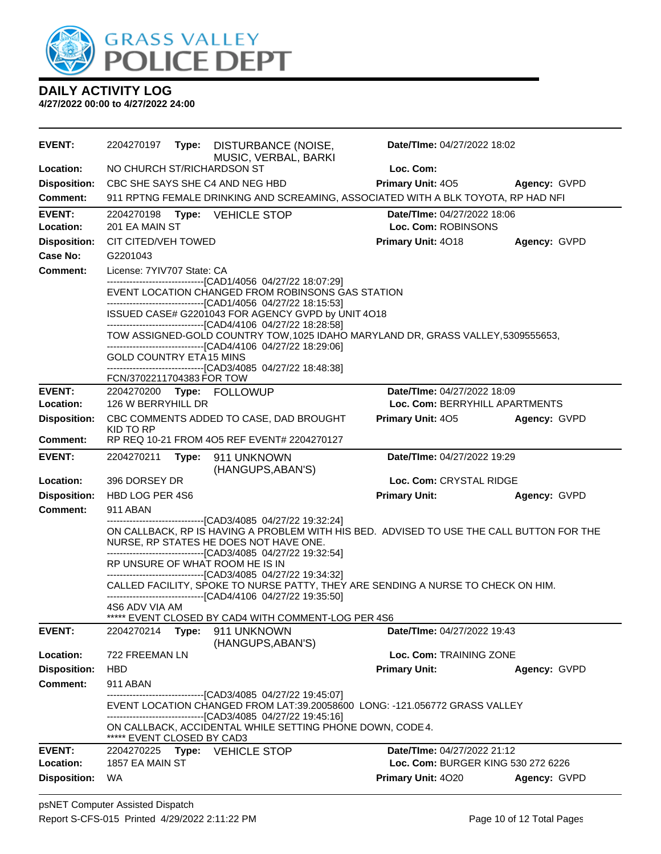

| <b>EVENT:</b>              | 2204270197                   |       | Type: DISTURBANCE (NOISE,<br>MUSIC, VERBAL, BARKI                                                                                                                                                                                       | Date/TIme: 04/27/2022 18:02                                                              |              |
|----------------------------|------------------------------|-------|-----------------------------------------------------------------------------------------------------------------------------------------------------------------------------------------------------------------------------------------|------------------------------------------------------------------------------------------|--------------|
| Location:                  | NO CHURCH ST/RICHARDSON ST   |       |                                                                                                                                                                                                                                         | Loc. Com:                                                                                |              |
| <b>Disposition:</b>        |                              |       | CBC SHE SAYS SHE C4 AND NEG HBD                                                                                                                                                                                                         | Primary Unit: 405                                                                        | Agency: GVPD |
| Comment:                   |                              |       |                                                                                                                                                                                                                                         | 911 RPTNG FEMALE DRINKING AND SCREAMING, ASSOCIATED WITH A BLK TOYOTA, RP HAD NFI        |              |
| <b>EVENT:</b><br>Location: | 2204270198<br>201 EA MAIN ST |       | Type: VEHICLE STOP                                                                                                                                                                                                                      | Date/TIme: 04/27/2022 18:06<br>Loc. Com: ROBINSONS                                       |              |
| <b>Disposition:</b>        | CIT CITED/VEH TOWED          |       |                                                                                                                                                                                                                                         | Primary Unit: 4018                                                                       | Agency: GVPD |
| Case No:                   | G2201043                     |       |                                                                                                                                                                                                                                         |                                                                                          |              |
| Comment:                   | License: 7YIV707 State: CA   |       |                                                                                                                                                                                                                                         |                                                                                          |              |
|                            |                              |       | -------------------------------[CAD1/4056_04/27/22 18:07:29]<br>EVENT LOCATION CHANGED FROM ROBINSONS GAS STATION<br>-------------------------------[CAD1/4056_04/27/22 18:15:53]<br>ISSUED CASE# G2201043 FOR AGENCY GVPD by UNIT 4O18 |                                                                                          |              |
|                            |                              |       | -------------------------------[CAD4/4106 04/27/22 18:28:58]                                                                                                                                                                            | TOW ASSIGNED-GOLD COUNTRY TOW, 1025 IDAHO MARYLAND DR, GRASS VALLEY, 5309555653,         |              |
|                            | GOLD COUNTRY ETA 15 MINS     |       | -------------------------------[CAD4/4106 04/27/22 18:29:06]                                                                                                                                                                            |                                                                                          |              |
|                            | FCN/3702211704383 FOR TOW    |       | -------------------------------[CAD3/4085 04/27/22 18:48:38]                                                                                                                                                                            |                                                                                          |              |
| <b>EVENT:</b>              |                              |       | 2204270200 Type: FOLLOWUP                                                                                                                                                                                                               | Date/TIme: 04/27/2022 18:09                                                              |              |
| Location:                  | 126 W BERRYHILL DR           |       | Loc. Com: BERRYHILL APARTMENTS                                                                                                                                                                                                          |                                                                                          |              |
| <b>Disposition:</b>        |                              |       | CBC COMMENTS ADDED TO CASE, DAD BROUGHT                                                                                                                                                                                                 | <b>Primary Unit: 405</b>                                                                 | Agency: GVPD |
| Comment:                   | KID TO RP                    |       | RP REQ 10-21 FROM 4O5 REF EVENT# 2204270127                                                                                                                                                                                             |                                                                                          |              |
| <b>EVENT:</b>              | 2204270211                   |       | Type: 911 UNKNOWN                                                                                                                                                                                                                       | Date/TIme: 04/27/2022 19:29                                                              |              |
|                            |                              |       | (HANGUPS, ABAN'S)                                                                                                                                                                                                                       |                                                                                          |              |
| Location:                  | 396 DORSEY DR                |       |                                                                                                                                                                                                                                         | Loc. Com: CRYSTAL RIDGE                                                                  |              |
| <b>Disposition:</b>        | HBD LOG PER 4S6              |       |                                                                                                                                                                                                                                         | <b>Primary Unit:</b>                                                                     | Agency: GVPD |
| <b>Comment:</b>            | 911 ABAN                     |       | -------------------------------[CAD3/4085 04/27/22 19:32:24]                                                                                                                                                                            |                                                                                          |              |
|                            |                              |       | NURSE, RP STATES HE DOES NOT HAVE ONE.<br>-------------------------------[CAD3/4085 04/27/22 19:32:54]                                                                                                                                  | ON CALLBACK, RP IS HAVING A PROBLEM WITH HIS BED. ADVISED TO USE THE CALL BUTTON FOR THE |              |
|                            |                              |       | RP UNSURE OF WHAT ROOM HE IS IN                                                                                                                                                                                                         |                                                                                          |              |
|                            |                              |       | -------------------------------[CAD3/4085 04/27/22 19:34:32]<br>-------------------------------[CAD4/4106 04/27/22 19:35:50]                                                                                                            | CALLED FACILITY, SPOKE TO NURSE PATTY, THEY ARE SENDING A NURSE TO CHECK ON HIM.         |              |
|                            | 4S6 ADV VIA AM               |       |                                                                                                                                                                                                                                         |                                                                                          |              |
| <b>EVENT:</b>              | 2204270214                   | Type: | ***** EVENT CLOSED BY CAD4 WITH COMMENT-LOG PER 4S6<br>911 UNKNOWN                                                                                                                                                                      | Date/TIme: 04/27/2022 19:43                                                              |              |
|                            |                              |       | (HANGUPS, ABAN'S)                                                                                                                                                                                                                       |                                                                                          |              |
| Location:                  | 722 FREEMAN LN               |       |                                                                                                                                                                                                                                         | Loc. Com: TRAINING ZONE                                                                  |              |
| <b>Disposition:</b>        | <b>HBD</b>                   |       |                                                                                                                                                                                                                                         | <b>Primary Unit:</b>                                                                     | Agency: GVPD |
| Comment:                   | 911 ABAN                     |       |                                                                                                                                                                                                                                         |                                                                                          |              |
|                            |                              |       | --------------------------------[CAD3/4085 04/27/22 19:45:07]<br>-------------------------------[CAD3/4085 04/27/22 19:45:16]                                                                                                           | EVENT LOCATION CHANGED FROM LAT:39.20058600 LONG: -121.056772 GRASS VALLEY               |              |
|                            | ***** EVENT CLOSED BY CAD3   |       | ON CALLBACK, ACCIDENTAL WHILE SETTING PHONE DOWN, CODE4.                                                                                                                                                                                |                                                                                          |              |
| <b>EVENT:</b>              | 2204270225                   |       | Type: VEHICLE STOP                                                                                                                                                                                                                      | <b>Date/Time: 04/27/2022 21:12</b>                                                       |              |
| Location:                  | 1857 EA MAIN ST              |       |                                                                                                                                                                                                                                         | Loc. Com: BURGER KING 530 272 6226                                                       |              |
| <b>Disposition:</b>        | <b>WA</b>                    |       |                                                                                                                                                                                                                                         | <b>Primary Unit: 4020</b>                                                                | Agency: GVPD |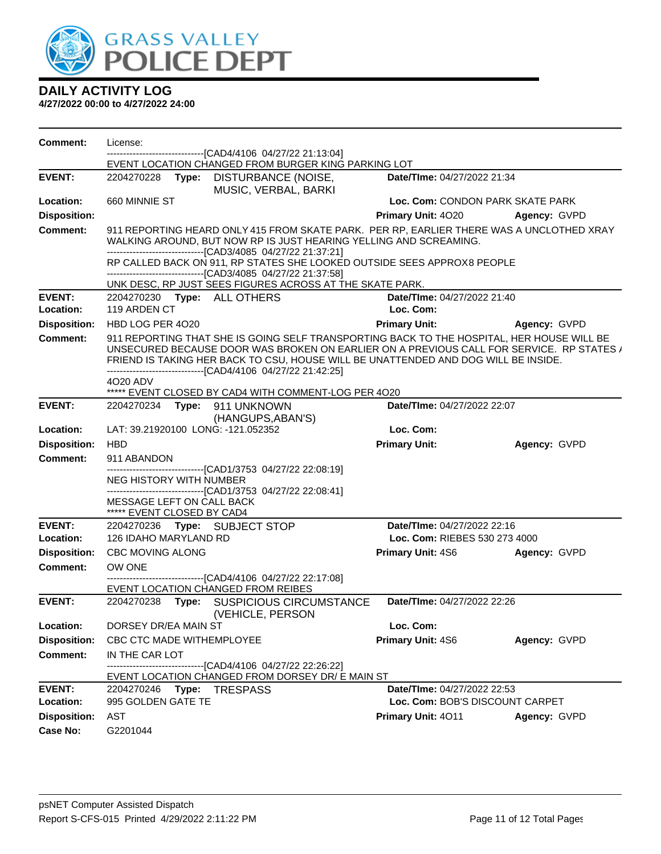

| <b>Comment:</b>     | License:                                                |       | --------------------[CAD4/4106_04/27/22 21:13:04]                                                                                                                                                                                                                                                                                            |                                  |                     |  |
|---------------------|---------------------------------------------------------|-------|----------------------------------------------------------------------------------------------------------------------------------------------------------------------------------------------------------------------------------------------------------------------------------------------------------------------------------------------|----------------------------------|---------------------|--|
|                     |                                                         |       | EVENT LOCATION CHANGED FROM BURGER KING PARKING LOT                                                                                                                                                                                                                                                                                          |                                  |                     |  |
| <b>EVENT:</b>       | 2204270228                                              | Type: | DISTURBANCE (NOISE,<br>MUSIC, VERBAL, BARKI                                                                                                                                                                                                                                                                                                  | Date/TIme: 04/27/2022 21:34      |                     |  |
| Location:           | 660 MINNIE ST                                           |       |                                                                                                                                                                                                                                                                                                                                              | Loc. Com: CONDON PARK SKATE PARK |                     |  |
| <b>Disposition:</b> |                                                         |       |                                                                                                                                                                                                                                                                                                                                              | Primary Unit: 4020               | Agency: GVPD        |  |
| <b>Comment:</b>     |                                                         |       | 911 REPORTING HEARD ONLY 415 FROM SKATE PARK. PER RP, EARLIER THERE WAS A UNCLOTHED XRAY<br>WALKING AROUND, BUT NOW RP IS JUST HEARING YELLING AND SCREAMING.<br>-------------------------------[CAD3/4085 04/27/22 21:37:21]                                                                                                                |                                  |                     |  |
|                     |                                                         |       | RP CALLED BACK ON 911, RP STATES SHE LOOKED OUTSIDE SEES APPROX8 PEOPLE<br>--------------------------------[CAD3/4085 04/27/22 21:37:58]<br>UNK DESC, RP JUST SEES FIGURES ACROSS AT THE SKATE PARK.                                                                                                                                         |                                  |                     |  |
| <b>EVENT:</b>       |                                                         |       | 2204270230 Type: ALL OTHERS                                                                                                                                                                                                                                                                                                                  | Date/TIme: 04/27/2022 21:40      |                     |  |
| Location:           | 119 ARDEN CT                                            |       |                                                                                                                                                                                                                                                                                                                                              | Loc. Com:                        |                     |  |
| <b>Disposition:</b> | HBD LOG PER 4020                                        |       |                                                                                                                                                                                                                                                                                                                                              | <b>Primary Unit:</b>             | <b>Agency: GVPD</b> |  |
| <b>Comment:</b>     |                                                         |       | 911 REPORTING THAT SHE IS GOING SELF TRANSPORTING BACK TO THE HOSPITAL, HER HOUSE WILL BE<br>UNSECURED BECAUSE DOOR WAS BROKEN ON EARLIER ON A PREVIOUS CALL FOR SERVICE. RP STATES /<br>FRIEND IS TAKING HER BACK TO CSU, HOUSE WILL BE UNATTENDED AND DOG WILL BE INSIDE.<br>--------------------------------[CAD4/4106 04/27/22 21:42:25] |                                  |                     |  |
|                     | 4020 ADV                                                |       |                                                                                                                                                                                                                                                                                                                                              |                                  |                     |  |
| <b>EVENT:</b>       |                                                         |       | ***** EVENT CLOSED BY CAD4 WITH COMMENT-LOG PER 4O20<br>2204270234 Type: 911 UNKNOWN                                                                                                                                                                                                                                                         | Date/TIme: 04/27/2022 22:07      |                     |  |
|                     |                                                         |       | (HANGUPS, ABAN'S)                                                                                                                                                                                                                                                                                                                            |                                  |                     |  |
| Location:           |                                                         |       | LAT: 39.21920100 LONG: -121.052352                                                                                                                                                                                                                                                                                                           | Loc. Com:                        |                     |  |
| <b>Disposition:</b> | <b>HBD</b>                                              |       |                                                                                                                                                                                                                                                                                                                                              | <b>Primary Unit:</b>             | Agency: GVPD        |  |
| <b>Comment:</b>     | 911 ABANDON                                             |       |                                                                                                                                                                                                                                                                                                                                              |                                  |                     |  |
|                     |                                                         |       | ---------------------------------[CAD1/3753 04/27/22 22:08:19]                                                                                                                                                                                                                                                                               |                                  |                     |  |
|                     | NEG HISTORY WITH NUMBER                                 |       | -------------------------------[CAD1/3753 04/27/22 22:08:41]                                                                                                                                                                                                                                                                                 |                                  |                     |  |
|                     | MESSAGE LEFT ON CALL BACK<br>***** EVENT CLOSED BY CAD4 |       |                                                                                                                                                                                                                                                                                                                                              |                                  |                     |  |
| <b>EVENT:</b>       |                                                         |       | 2204270236 Type: SUBJECT STOP                                                                                                                                                                                                                                                                                                                | Date/TIme: 04/27/2022 22:16      |                     |  |
| Location:           | 126 IDAHO MARYLAND RD                                   |       |                                                                                                                                                                                                                                                                                                                                              | Loc. Com: RIEBES 530 273 4000    |                     |  |
| <b>Disposition:</b> | <b>CBC MOVING ALONG</b>                                 |       |                                                                                                                                                                                                                                                                                                                                              | <b>Primary Unit: 4S6</b>         | Agency: GVPD        |  |
| Comment:            | OW ONE                                                  |       |                                                                                                                                                                                                                                                                                                                                              |                                  |                     |  |
|                     |                                                         |       | EVENT LOCATION CHANGED FROM REIBES                                                                                                                                                                                                                                                                                                           |                                  |                     |  |
| <b>EVENT:</b>       | 2204270238                                              | Type: | SUSPICIOUS CIRCUMSTANCE<br>(VEHICLE, PERSON                                                                                                                                                                                                                                                                                                  | Date/TIme: 04/27/2022 22:26      |                     |  |
| Location:           | DORSEY DR/EA MAIN ST                                    |       |                                                                                                                                                                                                                                                                                                                                              | Loc. Com:                        |                     |  |
| <b>Disposition:</b> |                                                         |       |                                                                                                                                                                                                                                                                                                                                              |                                  |                     |  |
|                     | CBC CTC MADE WITHEMPLOYEE                               |       |                                                                                                                                                                                                                                                                                                                                              |                                  |                     |  |
|                     |                                                         |       |                                                                                                                                                                                                                                                                                                                                              | Primary Unit: 4S6                | Agency: GVPD        |  |
| <b>Comment:</b>     | IN THE CAR LOT                                          |       | --------------------------[CAD4/4106  04/27/22 22:26:22]<br>EVENT LOCATION CHANGED FROM DORSEY DR/ E MAIN ST                                                                                                                                                                                                                                 |                                  |                     |  |
| <b>EVENT:</b>       |                                                         |       | 2204270246    Type: TRESPASS                                                                                                                                                                                                                                                                                                                 | Date/TIme: 04/27/2022 22:53      |                     |  |
| Location:           | 995 GOLDEN GATE TE                                      |       |                                                                                                                                                                                                                                                                                                                                              | Loc. Com: BOB'S DISCOUNT CARPET  |                     |  |
| <b>Disposition:</b> | AST                                                     |       |                                                                                                                                                                                                                                                                                                                                              | Primary Unit: 4011               | Agency: GVPD        |  |